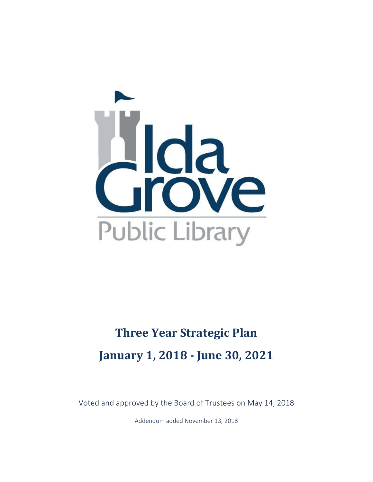

# **Three Year [Strategic Plan](http://www.lenox.lib.ia.us/library-information/longrangeplan/longrangeplan) January 1, 2018 - June 30, 2021**

Voted and approved by the Board of Trustees on May 14, 2018

Addendum added November 13, 2018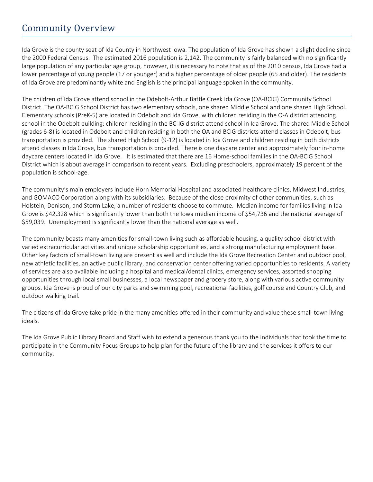### Community Overview

Ida Grove is the county seat of Ida County in Northwest Iowa. The population of Ida Grove has shown a slight decline since the 2000 Federal Census. The estimated 2016 population is 2,142. The community is fairly balanced with no significantly large population of any particular age group, however, it is necessary to note that as of the 2010 census, Ida Grove had a lower percentage of young people (17 or younger) and a higher percentage of older people (65 and older). The residents of Ida Grove are predominantly white and English is the principal language spoken in the community.

The children of Ida Grove attend school in the Odebolt-Arthur Battle Creek Ida Grove (OA-BCIG) Community School District. The OA-BCIG School District has two elementary schools, one shared Middle School and one shared High School. Elementary schools (PreK-5) are located in Odebolt and Ida Grove, with children residing in the O-A district attending school in the Odebolt building; children residing in the BC-IG district attend school in Ida Grove. The shared Middle School (grades 6-8) is located in Odebolt and children residing in both the OA and BCIG districts attend classes in Odebolt, bus transportation is provided. The shared High School (9-12) is located in Ida Grove and children residing in both districts attend classes in Ida Grove, bus transportation is provided. There is one daycare center and approximately four in-home daycare centers located in Ida Grove. It is estimated that there are 16 Home-school families in the OA-BCIG School District which is about average in comparison to recent years. Excluding preschoolers, approximately 19 percent of the population is school-age.

The community's main employers include Horn Memorial Hospital and associated healthcare clinics, Midwest Industries, and GOMACO Corporation along with its subsidiaries. Because of the close proximity of other communities, such as Holstein, Denison, and Storm Lake, a number of residents choose to commute. Median income for families living in Ida Grove is \$42,328 which is significantly lower than both the Iowa median income of \$54,736 and the national average of \$59,039. Unemployment is significantly lower than the national average as well.

The community boasts many amenities for small-town living such as affordable housing, a quality school district with varied extracurricular activities and unique scholarship opportunities, and a strong manufacturing employment base. Other key factors of small-town living are present as well and include the Ida Grove Recreation Center and outdoor pool, new athletic facilities, an active public library, and conservation center offering varied opportunities to residents. A variety of services are also available including a hospital and medical/dental clinics, emergency services, assorted shopping opportunities through local small businesses, a local newspaper and grocery store, along with various active community groups. Ida Grove is proud of our city parks and swimming pool, recreational facilities, golf course and Country Club, and outdoor walking trail.

The citizens of Ida Grove take pride in the many amenities offered in their community and value these small-town living ideals.

The Ida Grove Public Library Board and Staff wish to extend a generous thank you to the individuals that took the time to participate in the Community Focus Groups to help plan for the future of the library and the services it offers to our community.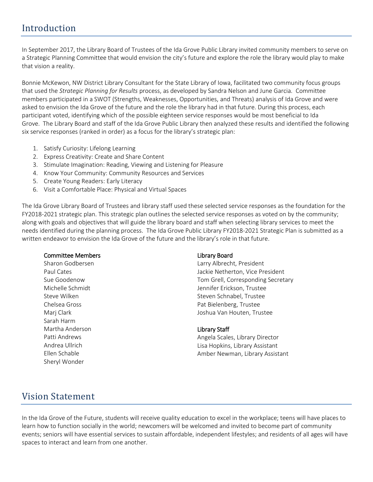### Introduction

In September 2017, the Library Board of Trustees of the Ida Grove Public Library invited community members to serve on a Strategic Planning Committee that would envision the city's future and explore the role the library would play to make that vision a reality.

Bonnie McKewon, NW District Library Consultant for the State Library of Iowa, facilitated two community focus groups that used the *Strategic Planning for Results* process, as developed by Sandra Nelson and June Garcia. Committee members participated in a SWOT (Strengths, Weaknesses, Opportunities, and Threats) analysis of Ida Grove and were asked to envision the Ida Grove of the future and the role the library had in that future. During this process, each participant voted, identifying which of the possible eighteen service responses would be most beneficial to Ida Grove. The Library Board and staff of the Ida Grove Public Library then analyzed these results and identified the following six service responses (ranked in order) as a focus for the library's strategic plan:

- 1. Satisfy Curiosity: Lifelong Learning
- 2. Express Creativity: Create and Share Content
- 3. Stimulate Imagination: Reading, Viewing and Listening for Pleasure
- 4. Know Your Community: Community Resources and Services
- 5. Create Young Readers: Early Literacy
- 6. Visit a Comfortable Place: Physical and Virtual Spaces

The Ida Grove Library Board of Trustees and library staff used these selected service responses as the foundation for the FY2018-2021 strategic plan. This strategic plan outlines the selected service responses as voted on by the community; along with goals and objectives that will guide the library board and staff when selecting library services to meet the needs identified during the planning process. The Ida Grove Public Library FY2018-2021 Strategic Plan is submitted as a written endeavor to envision the Ida Grove of the future and the library's role in that future.

#### Committee Members

Sharon Godbersen Paul Cates Sue Goodenow Michelle Schmidt Steve Wilken Chelsea Gross Marj Clark Sarah Harm Martha Anderson Patti Andrews Andrea Ullrich Ellen Schable Sheryl Wonder

#### Library Board

Larry Albrecht, President Jackie Netherton, Vice President Tom Grell, Corresponding Secretary Jennifer Erickson, Trustee Steven Schnabel, Trustee Pat Bielenberg, Trustee Joshua Van Houten, Trustee

#### Library Staff

Angela Scales, Library Director Lisa Hopkins, Library Assistant Amber Newman, Library Assistant

### Vision Statement

In the Ida Grove of the Future, students will receive quality education to excel in the workplace; teens will have places to learn how to function socially in the world; newcomers will be welcomed and invited to become part of community events; seniors will have essential services to sustain affordable, independent lifestyles; and residents of all ages will have spaces to interact and learn from one another.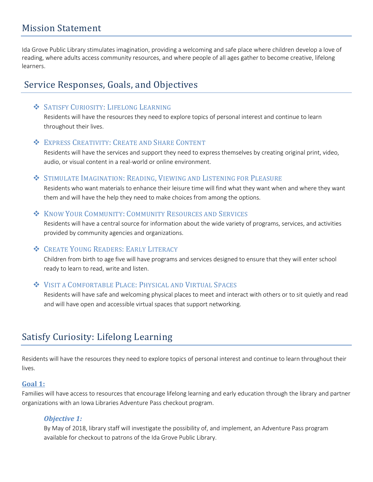Ida Grove Public Library stimulates imagination, providing a welcoming and safe place where children develop a love of reading, where adults access community resources, and where people of all ages gather to become creative, lifelong learners.

### Service Responses, Goals, and Objectives

#### ❖ SATISFY CURIOSITY: LIFELONG LEARNING

Residents will have the resources they need to explore topics of personal interest and continue to learn throughout their lives.

#### ❖ EXPRESS CREATIVITY: CREATE AND SHARE CONTENT

Residents will have the services and support they need to express themselves by creating original print, video, audio, or visual content in a real-world or online environment.

#### ❖ STIMULATE IMAGINATION: READING, VIEWING AND LISTENING FOR PLEASURE

Residents who want materials to enhance their leisure time will find what they want when and where they want them and will have the help they need to make choices from among the options.

#### ❖ KNOW YOUR COMMUNITY: COMMUNITY RESOURCES AND SERVICES

Residents will have a central source for information about the wide variety of programs, services, and activities provided by community agencies and organizations.

### ❖ CREATE YOUNG READERS: EARLY LITERACY

Children from birth to age five will have programs and services designed to ensure that they will enter school ready to learn to read, write and listen.

### ❖ VISIT A COMFORTABLE PLACE: PHYSICAL AND VIRTUAL SPACES

Residents will have safe and welcoming physical places to meet and interact with others or to sit quietly and read and will have open and accessible virtual spaces that support networking.

# Satisfy Curiosity: Lifelong Learning

Residents will have the resources they need to explore topics of personal interest and continue to learn throughout their lives.

#### **Goal 1:**

Families will have access to resources that encourage lifelong learning and early education through the library and partner organizations with an Iowa Libraries Adventure Pass checkout program.

### *Objective 1:*

By May of 2018, library staff will investigate the possibility of, and implement, an Adventure Pass program available for checkout to patrons of the Ida Grove Public Library.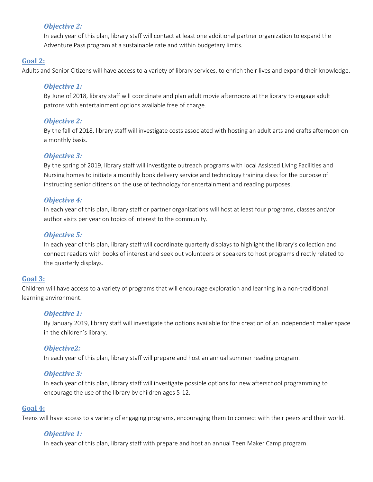### *Objective 2:*

In each year of this plan, library staff will contact at least one additional partner organization to expand the Adventure Pass program at a sustainable rate and within budgetary limits.

#### **Goal 2:**

Adults and Senior Citizens will have access to a variety of library services, to enrich their lives and expand their knowledge.

#### *Objective 1:*

By June of 2018, library staff will coordinate and plan adult movie afternoons at the library to engage adult patrons with entertainment options available free of charge.

#### *Objective 2:*

By the fall of 2018, library staff will investigate costs associated with hosting an adult arts and crafts afternoon on a monthly basis.

#### *Objective 3:*

By the spring of 2019, library staff will investigate outreach programs with local Assisted Living Facilities and Nursing homes to initiate a monthly book delivery service and technology training class for the purpose of instructing senior citizens on the use of technology for entertainment and reading purposes.

#### *Objective 4:*

In each year of this plan, library staff or partner organizations will host at least four programs, classes and/or author visits per year on topics of interest to the community.

### *Objective 5:*

In each year of this plan, library staff will coordinate quarterly displays to highlight the library's collection and connect readers with books of interest and seek out volunteers or speakers to host programs directly related to the quarterly displays.

#### **Goal 3:**

Children will have access to a variety of programs that will encourage exploration and learning in a non-traditional learning environment.

#### *Objective 1:*

By January 2019, library staff will investigate the options available for the creation of an independent maker space in the children's library.

#### *Objective2:*

In each year of this plan, library staff will prepare and host an annual summer reading program.

#### *Objective 3:*

In each year of this plan, library staff will investigate possible options for new afterschool programming to encourage the use of the library by children ages 5-12.

#### **Goal 4:**

Teens will have access to a variety of engaging programs, encouraging them to connect with their peers and their world.

### *Objective 1:*

In each year of this plan, library staff with prepare and host an annual Teen Maker Camp program.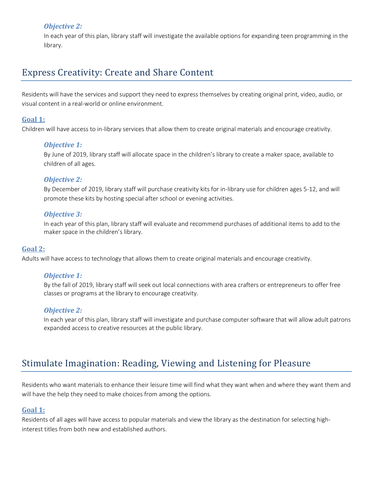### *Objective 2:*

In each year of this plan, library staff will investigate the available options for expanding teen programming in the library.

### Express Creativity: Create and Share Content

Residents will have the services and support they need to express themselves by creating original print, video, audio, or visual content in a real-world or online environment.

#### **Goal 1:**

Children will have access to in-library services that allow them to create original materials and encourage creativity.

#### *Objective 1:*

By June of 2019, library staff will allocate space in the children's library to create a maker space, available to children of all ages.

#### *Objective 2:*

By December of 2019, library staff will purchase creativity kits for in-library use for children ages 5-12, and will promote these kits by hosting special after school or evening activities.

#### *Objective 3:*

In each year of this plan, library staff will evaluate and recommend purchases of additional items to add to the maker space in the children's library.

#### **Goal 2:**

Adults will have access to technology that allows them to create original materials and encourage creativity.

#### *Objective 1:*

By the fall of 2019, library staff will seek out local connections with area crafters or entrepreneurs to offer free classes or programs at the library to encourage creativity.

#### *Objective 2:*

In each year of this plan, library staff will investigate and purchase computer software that will allow adult patrons expanded access to creative resources at the public library.

### Stimulate Imagination: Reading, Viewing and Listening for Pleasure

Residents who want materials to enhance their leisure time will find what they want when and where they want them and will have the help they need to make choices from among the options.

#### **Goal 1:**

Residents of all ages will have access to popular materials and view the library as the destination for selecting highinterest titles from both new and established authors.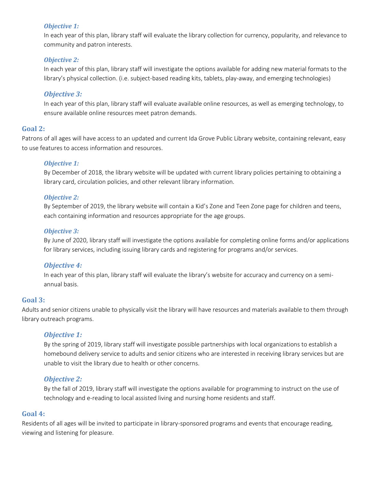#### *Objective 1:*

In each year of this plan, library staff will evaluate the library collection for currency, popularity, and relevance to community and patron interests.

#### *Objective 2:*

In each year of this plan, library staff will investigate the options available for adding new material formats to the library's physical collection. (i.e. subject-based reading kits, tablets, play-away, and emerging technologies)

#### *Objective 3:*

In each year of this plan, library staff will evaluate available online resources, as well as emerging technology, to ensure available online resources meet patron demands.

#### **Goal 2:**

Patrons of all ages will have access to an updated and current Ida Grove Public Library website, containing relevant, easy to use features to access information and resources.

#### *Objective 1:*

By December of 2018, the library website will be updated with current library policies pertaining to obtaining a library card, circulation policies, and other relevant library information.

#### *Objective 2:*

By September of 2019, the library website will contain a Kid's Zone and Teen Zone page for children and teens, each containing information and resources appropriate for the age groups.

#### *Objective 3:*

By June of 2020, library staff will investigate the options available for completing online forms and/or applications for library services, including issuing library cards and registering for programs and/or services.

#### *Objective 4:*

In each year of this plan, library staff will evaluate the library's website for accuracy and currency on a semiannual basis.

#### **Goal 3:**

Adults and senior citizens unable to physically visit the library will have resources and materials available to them through library outreach programs.

#### *Objective 1:*

By the spring of 2019, library staff will investigate possible partnerships with local organizations to establish a homebound delivery service to adults and senior citizens who are interested in receiving library services but are unable to visit the library due to health or other concerns.

#### *Objective 2:*

By the fall of 2019, library staff will investigate the options available for programming to instruct on the use of technology and e-reading to local assisted living and nursing home residents and staff.

#### **Goal 4:**

Residents of all ages will be invited to participate in library-sponsored programs and events that encourage reading, viewing and listening for pleasure.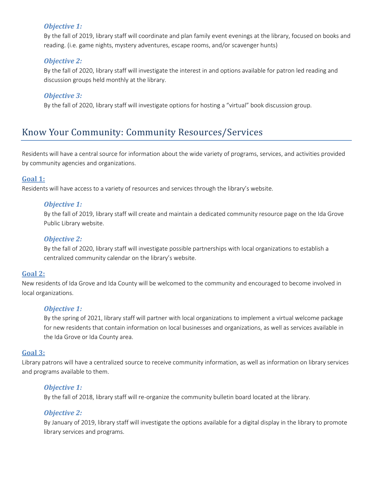#### *Objective 1:*

By the fall of 2019, library staff will coordinate and plan family event evenings at the library, focused on books and reading. (i.e. game nights, mystery adventures, escape rooms, and/or scavenger hunts)

#### *Objective 2:*

By the fall of 2020, library staff will investigate the interest in and options available for patron led reading and discussion groups held monthly at the library.

#### *Objective 3:*

By the fall of 2020, library staff will investigate options for hosting a "virtual" book discussion group.

### Know Your Community: Community Resources/Services

Residents will have a central source for information about the wide variety of programs, services, and activities provided by community agencies and organizations.

#### **Goal 1:**

Residents will have access to a variety of resources and services through the library's website.

#### *Objective 1:*

By the fall of 2019, library staff will create and maintain a dedicated community resource page on the Ida Grove Public Library website.

#### *Objective 2:*

By the fall of 2020, library staff will investigate possible partnerships with local organizations to establish a centralized community calendar on the library's website.

#### **Goal 2:**

New residents of Ida Grove and Ida County will be welcomed to the community and encouraged to become involved in local organizations.

#### *Objective 1:*

By the spring of 2021, library staff will partner with local organizations to implement a virtual welcome package for new residents that contain information on local businesses and organizations, as well as services available in the Ida Grove or Ida County area.

#### **Goal 3:**

Library patrons will have a centralized source to receive community information, as well as information on library services and programs available to them.

#### *Objective 1:*

By the fall of 2018, library staff will re-organize the community bulletin board located at the library.

#### *Objective 2:*

By January of 2019, library staff will investigate the options available for a digital display in the library to promote library services and programs.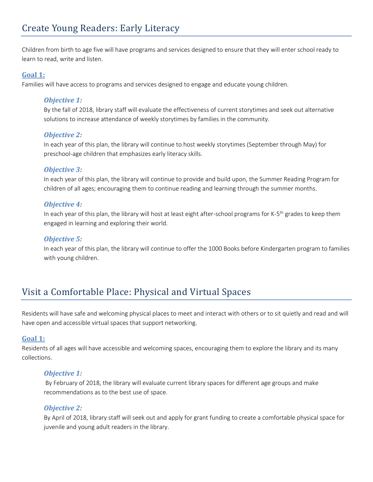Children from birth to age five will have programs and services designed to ensure that they will enter school ready to learn to read, write and listen.

#### **Goal 1:**

Families will have access to programs and services designed to engage and educate young children.

#### *Objective 1:*

By the fall of 2018, library staff will evaluate the effectiveness of current storytimes and seek out alternative solutions to increase attendance of weekly storytimes by families in the community.

#### *Objective 2:*

In each year of this plan, the library will continue to host weekly storytimes (September through May) for preschool-age children that emphasizes early literacy skills.

#### *Objective 3:*

In each year of this plan, the library will continue to provide and build upon, the Summer Reading Program for children of all ages; encouraging them to continue reading and learning through the summer months.

#### *Objective 4:*

In each year of this plan, the library will host at least eight after-school programs for K-5<sup>th</sup> grades to keep them engaged in learning and exploring their world.

#### *Objective 5:*

In each year of this plan, the library will continue to offer the 1000 Books before Kindergarten program to families with young children.

# Visit a Comfortable Place: Physical and Virtual Spaces

Residents will have safe and welcoming physical places to meet and interact with others or to sit quietly and read and will have open and accessible virtual spaces that support networking.

#### **Goal 1:**

Residents of all ages will have accessible and welcoming spaces, encouraging them to explore the library and its many collections.

#### *Objective 1:*

By February of 2018, the library will evaluate current library spaces for different age groups and make recommendations as to the best use of space.

#### *Objective 2:*

By April of 2018, library staff will seek out and apply for grant funding to create a comfortable physical space for juvenile and young adult readers in the library.